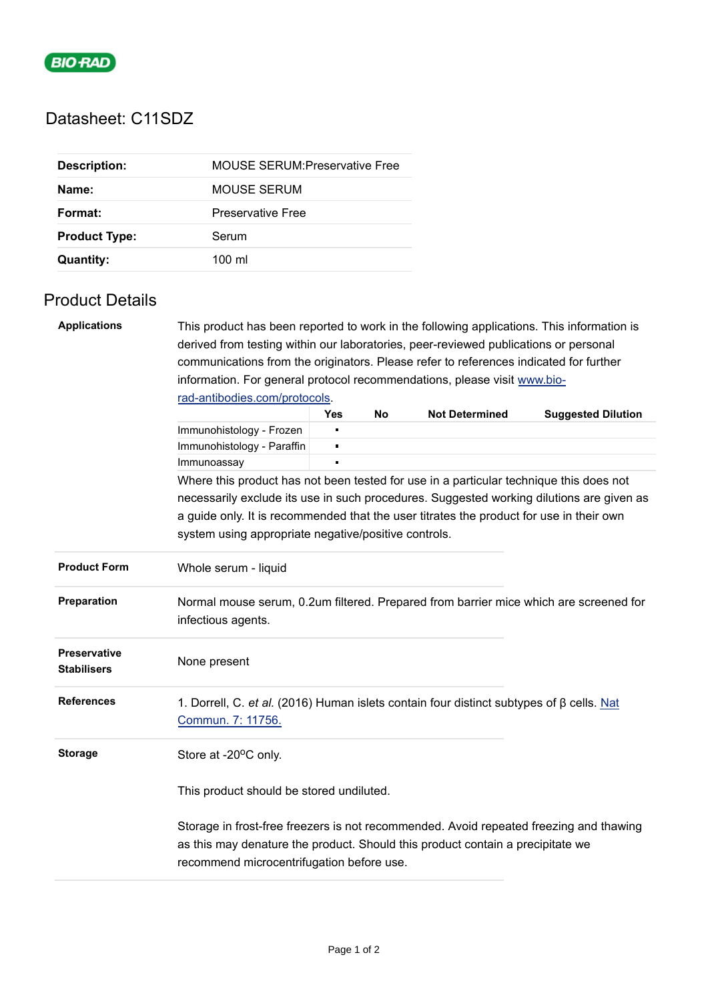

## Datasheet: C11SDZ

| <b>Description:</b>  | <b>MOUSE SERUM Preservative Free</b> |
|----------------------|--------------------------------------|
| Name:                | MOUSE SERUM                          |
| Format:              | <b>Preservative Free</b>             |
| <b>Product Type:</b> | Serum                                |
| <b>Quantity:</b>     | $100 \mathrm{m}$                     |

## Product Details

| <b>Applications</b>                       | This product has been reported to work in the following applications. This information is                                                                                                                             |            |    |                       |                           |  |  |  |  |
|-------------------------------------------|-----------------------------------------------------------------------------------------------------------------------------------------------------------------------------------------------------------------------|------------|----|-----------------------|---------------------------|--|--|--|--|
|                                           | derived from testing within our laboratories, peer-reviewed publications or personal                                                                                                                                  |            |    |                       |                           |  |  |  |  |
|                                           | communications from the originators. Please refer to references indicated for further                                                                                                                                 |            |    |                       |                           |  |  |  |  |
|                                           | information. For general protocol recommendations, please visit www.bio-<br>rad-antibodies.com/protocols.                                                                                                             |            |    |                       |                           |  |  |  |  |
|                                           |                                                                                                                                                                                                                       |            |    |                       |                           |  |  |  |  |
|                                           |                                                                                                                                                                                                                       | <b>Yes</b> | No | <b>Not Determined</b> | <b>Suggested Dilution</b> |  |  |  |  |
|                                           | Immunohistology - Frozen                                                                                                                                                                                              |            |    |                       |                           |  |  |  |  |
|                                           | Immunohistology - Paraffin                                                                                                                                                                                            |            |    |                       |                           |  |  |  |  |
|                                           | Immunoassay                                                                                                                                                                                                           |            |    |                       |                           |  |  |  |  |
|                                           | Where this product has not been tested for use in a particular technique this does not                                                                                                                                |            |    |                       |                           |  |  |  |  |
|                                           | necessarily exclude its use in such procedures. Suggested working dilutions are given as                                                                                                                              |            |    |                       |                           |  |  |  |  |
|                                           | a guide only. It is recommended that the user titrates the product for use in their own                                                                                                                               |            |    |                       |                           |  |  |  |  |
|                                           | system using appropriate negative/positive controls.                                                                                                                                                                  |            |    |                       |                           |  |  |  |  |
| <b>Product Form</b>                       | Whole serum - liquid                                                                                                                                                                                                  |            |    |                       |                           |  |  |  |  |
| Preparation                               | Normal mouse serum, 0.2um filtered. Prepared from barrier mice which are screened for<br>infectious agents.                                                                                                           |            |    |                       |                           |  |  |  |  |
| <b>Preservative</b><br><b>Stabilisers</b> | None present                                                                                                                                                                                                          |            |    |                       |                           |  |  |  |  |
| <b>References</b>                         | 1. Dorrell, C. et al. (2016) Human islets contain four distinct subtypes of $\beta$ cells. Nat<br>Commun. 7: 11756.                                                                                                   |            |    |                       |                           |  |  |  |  |
| <b>Storage</b>                            | Store at -20°C only.                                                                                                                                                                                                  |            |    |                       |                           |  |  |  |  |
|                                           | This product should be stored undiluted.                                                                                                                                                                              |            |    |                       |                           |  |  |  |  |
|                                           | Storage in frost-free freezers is not recommended. Avoid repeated freezing and thawing<br>as this may denature the product. Should this product contain a precipitate we<br>recommend microcentrifugation before use. |            |    |                       |                           |  |  |  |  |